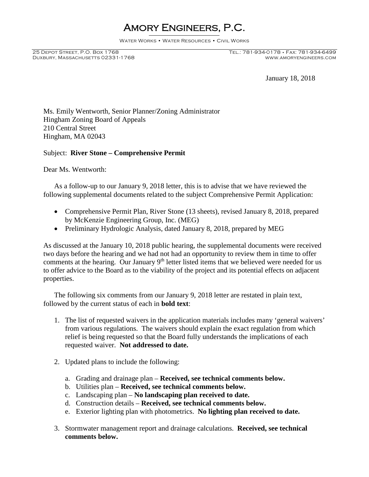# Amory Engineers, P.C.

Water Works • Water Resources • Civil Works

Duxbury, Massachusetts 02331-1768

January 18, 2018

Ms. Emily Wentworth, Senior Planner/Zoning Administrator Hingham Zoning Board of Appeals 210 Central Street Hingham, MA 02043

#### Subject: **River Stone – Comprehensive Permit**

Dear Ms. Wentworth:

As a follow-up to our January 9, 2018 letter, this is to advise that we have reviewed the following supplemental documents related to the subject Comprehensive Permit Application:

- Comprehensive Permit Plan, River Stone (13 sheets), revised January 8, 2018, prepared by McKenzie Engineering Group, Inc. (MEG)
- Preliminary Hydrologic Analysis, dated January 8, 2018, prepared by MEG

As discussed at the January 10, 2018 public hearing, the supplemental documents were received two days before the hearing and we had not had an opportunity to review them in time to offer comments at the hearing. Our January  $9<sup>th</sup>$  letter listed items that we believed were needed for us to offer advice to the Board as to the viability of the project and its potential effects on adjacent properties.

The following six comments from our January 9, 2018 letter are restated in plain text, followed by the current status of each in **bold text**:

- 1. The list of requested waivers in the application materials includes many 'general waivers' from various regulations. The waivers should explain the exact regulation from which relief is being requested so that the Board fully understands the implications of each requested waiver. **Not addressed to date.**
- 2. Updated plans to include the following:
	- a. Grading and drainage plan **Received, see technical comments below.**
	- b. Utilities plan **Received, see technical comments below.**
	- c. Landscaping plan **No landscaping plan received to date.**
	- d. Construction details **Received, see technical comments below.**
	- e. Exterior lighting plan with photometrics. **No lighting plan received to date.**
- 3. Stormwater management report and drainage calculations. **Received, see technical comments below.**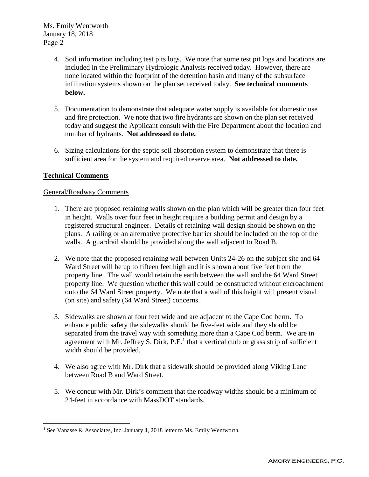Ms. Emily Wentworth January 18, 2018 Page 2

- 4. Soil information including test pits logs. We note that some test pit logs and locations are included in the Preliminary Hydrologic Analysis received today. However, there are none located within the footprint of the detention basin and many of the subsurface infiltration systems shown on the plan set received today. **See technical comments below.**
- 5. Documentation to demonstrate that adequate water supply is available for domestic use and fire protection. We note that two fire hydrants are shown on the plan set received today and suggest the Applicant consult with the Fire Department about the location and number of hydrants. **Not addressed to date.**
- 6. Sizing calculations for the septic soil absorption system to demonstrate that there is sufficient area for the system and required reserve area. **Not addressed to date.**

# **Technical Comments**

## General/Roadway Comments

- 1. There are proposed retaining walls shown on the plan which will be greater than four feet in height. Walls over four feet in height require a building permit and design by a registered structural engineer. Details of retaining wall design should be shown on the plans. A railing or an alternative protective barrier should be included on the top of the walls. A guardrail should be provided along the wall adjacent to Road B.
- 2. We note that the proposed retaining wall between Units 24-26 on the subject site and 64 Ward Street will be up to fifteen feet high and it is shown about five feet from the property line. The wall would retain the earth between the wall and the 64 Ward Street property line. We question whether this wall could be constructed without encroachment onto the 64 Ward Street property. We note that a wall of this height will present visual (on site) and safety (64 Ward Street) concerns.
- 3. Sidewalks are shown at four feet wide and are adjacent to the Cape Cod berm. To enhance public safety the sidewalks should be five-feet wide and they should be separated from the travel way with something more than a Cape Cod berm. We are in agreement with Mr. Jeffrey S. Dirk,  $P.E.<sup>1</sup>$  that a vertical curb or grass strip of sufficient width should be provided.
- 4. We also agree with Mr. Dirk that a sidewalk should be provided along Viking Lane between Road B and Ward Street.
- 5. We concur with Mr. Dirk's comment that the roadway widths should be a minimum of 24-feet in accordance with MassDOT standards.

<sup>&</sup>lt;sup>1</sup> See Vanasse & Associates, Inc. January 4, 2018 letter to Ms. Emily Wentworth.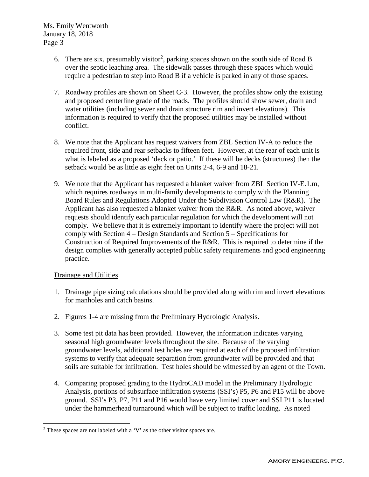Ms. Emily Wentworth January 18, 2018 Page 3

- 6. There are six, presumably visitor<sup>2</sup>, parking spaces shown on the south side of Road B over the septic leaching area. The sidewalk passes through these spaces which would require a pedestrian to step into Road B if a vehicle is parked in any of those spaces.
- 7. Roadway profiles are shown on Sheet C-3. However, the profiles show only the existing and proposed centerline grade of the roads. The profiles should show sewer, drain and water utilities (including sewer and drain structure rim and invert elevations). This information is required to verify that the proposed utilities may be installed without conflict.
- 8. We note that the Applicant has request waivers from ZBL Section IV-A to reduce the required front, side and rear setbacks to fifteen feet. However, at the rear of each unit is what is labeled as a proposed 'deck or patio.' If these will be decks (structures) then the setback would be as little as eight feet on Units 2-4, 6-9 and 18-21.
- 9. We note that the Applicant has requested a blanket waiver from ZBL Section IV-E.1.m, which requires roadways in multi-family developments to comply with the Planning Board Rules and Regulations Adopted Under the Subdivision Control Law (R&R). The Applicant has also requested a blanket waiver from the R&R. As noted above, waiver requests should identify each particular regulation for which the development will not comply. We believe that it is extremely important to identify where the project will not comply with Section 4 – Design Standards and Section 5 – Specifications for Construction of Required Improvements of the R&R. This is required to determine if the design complies with generally accepted public safety requirements and good engineering practice.

## Drainage and Utilities

- 1. Drainage pipe sizing calculations should be provided along with rim and invert elevations for manholes and catch basins.
- 2. Figures 1-4 are missing from the Preliminary Hydrologic Analysis.
- 3. Some test pit data has been provided. However, the information indicates varying seasonal high groundwater levels throughout the site. Because of the varying groundwater levels, additional test holes are required at each of the proposed infiltration systems to verify that adequate separation from groundwater will be provided and that soils are suitable for infiltration. Test holes should be witnessed by an agent of the Town.
- 4. Comparing proposed grading to the HydroCAD model in the Preliminary Hydrologic Analysis, portions of subsurface infiltration systems (SSI's) P5, P6 and P15 will be above ground. SSI's P3, P7, P11 and P16 would have very limited cover and SSI P11 is located under the hammerhead turnaround which will be subject to traffic loading. As noted

<sup>2</sup> These spaces are not labeled with a 'V' as the other visitor spaces are.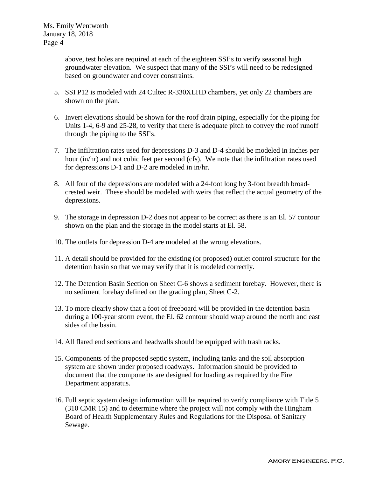above, test holes are required at each of the eighteen SSI's to verify seasonal high groundwater elevation. We suspect that many of the SSI's will need to be redesigned based on groundwater and cover constraints.

- 5. SSI P12 is modeled with 24 Cultec R-330XLHD chambers, yet only 22 chambers are shown on the plan.
- 6. Invert elevations should be shown for the roof drain piping, especially for the piping for Units 1-4, 6-9 and 25-28, to verify that there is adequate pitch to convey the roof runoff through the piping to the SSI's.
- 7. The infiltration rates used for depressions D-3 and D-4 should be modeled in inches per hour (in/hr) and not cubic feet per second (cfs). We note that the infiltration rates used for depressions D-1 and D-2 are modeled in in/hr.
- 8. All four of the depressions are modeled with a 24-foot long by 3-foot breadth broadcrested weir. These should be modeled with weirs that reflect the actual geometry of the depressions.
- 9. The storage in depression D-2 does not appear to be correct as there is an El. 57 contour shown on the plan and the storage in the model starts at El. 58.
- 10. The outlets for depression D-4 are modeled at the wrong elevations.
- 11. A detail should be provided for the existing (or proposed) outlet control structure for the detention basin so that we may verify that it is modeled correctly.
- 12. The Detention Basin Section on Sheet C-6 shows a sediment forebay. However, there is no sediment forebay defined on the grading plan, Sheet C-2.
- 13. To more clearly show that a foot of freeboard will be provided in the detention basin during a 100-year storm event, the El. 62 contour should wrap around the north and east sides of the basin.
- 14. All flared end sections and headwalls should be equipped with trash racks.
- 15. Components of the proposed septic system, including tanks and the soil absorption system are shown under proposed roadways. Information should be provided to document that the components are designed for loading as required by the Fire Department apparatus.
- 16. Full septic system design information will be required to verify compliance with Title 5 (310 CMR 15) and to determine where the project will not comply with the Hingham Board of Health Supplementary Rules and Regulations for the Disposal of Sanitary Sewage.